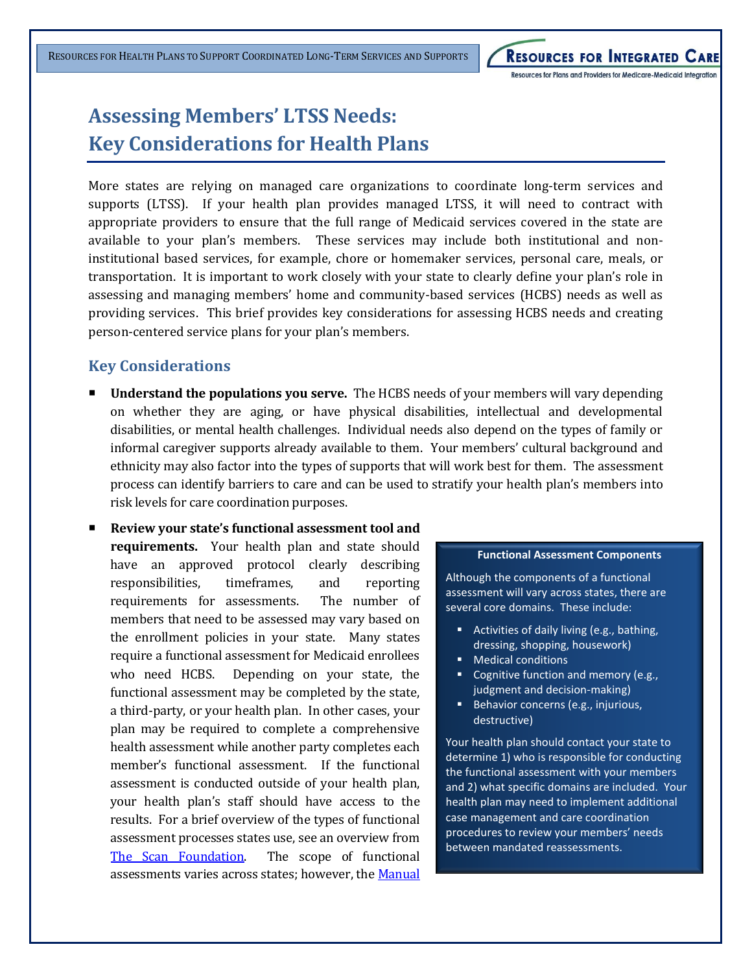RESOURCES FOR HEALTH PLANS TO SUPPORT COORDINATED LONG-TERM SERVICES AND SUPPORTS

## **Assessing Members' LTSS Needs: Key Considerations for Health Plans**

More states are relying on managed care organizations to coordinate long-term services and supports (LTSS). If your health plan provides managed LTSS, it will need to contract with appropriate providers to ensure that the full range of Medicaid services covered in the state are available to your plan's members. These services may include both institutional and noninstitutional based services, for example, chore or homemaker services, personal care, meals, or transportation. It is important to work closely with your state to clearly define your plan's role in assessing and managing members' home and community-based services (HCBS) needs as well as providing services. This brief provides key considerations for assessing HCBS needs and creating person-centered service plans for your plan's members.

## **Key Considerations**

- **Understand the populations you serve.** The HCBS needs of your members will vary depending on whether they are aging, or have physical disabilities, intellectual and developmental disabilities, or mental health challenges. Individual needs also depend on the types of family or informal caregiver supports already available to them. Your members' cultural background and ethnicity may also factor into the types of supports that will work best for them. The assessment process can identify barriers to care and can be used to stratify your health plan's members into risk levels for care coordination purposes.
- **Review your state's functional assessment tool and requirements.** Your health plan and state should have an approved protocol clearly describing responsibilities, timeframes, and reporting requirements for assessments. The number of members that need to be assessed may vary based on the enrollment policies in your state. Many states require a functional assessment for Medicaid enrollees who need HCBS. Depending on your state, the functional assessment may be completed by the state, a third-party, or your health plan. In other cases, your plan may be required to complete a comprehensive health assessment while another party completes each member's functional assessment. If the functional assessment is conducted outside of your health plan, your health plan's staff should have access to the results. For a brief overview of the types of functional assessment processes states use, see an overview from [The Scan Foundation.](http://www.thescanfoundation.org/sites/thescanfoundation.org/files/TSF_CLASS_TA_No_7_Medicaid_Assessment_Process_FINAL.pdf) The scope of functional assessments varies across states; however, the Manual

## **Functional Assessment Components**

**RESOURCES FOR INTEGRATED CARE** Resources for Plans and Providers for Medicare-Medicaid Integration

Although the components of a functional assessment will vary across states, there are several core domains. These include:

- **Activities of daily living (e.g., bathing,** dressing, shopping, housework)
- **Nedical conditions**
- **Cognitive function and memory (e.g.,** judgment and decision-making)
- Behavior concerns (e.g., injurious, destructive)

Your health plan should contact your state to determine 1) who is responsible for conducting the functional assessment with your members and 2) what specific domains are included. Your health plan may need to implement additional case management and care coordination procedures to review your members' needs between mandated reassessments.